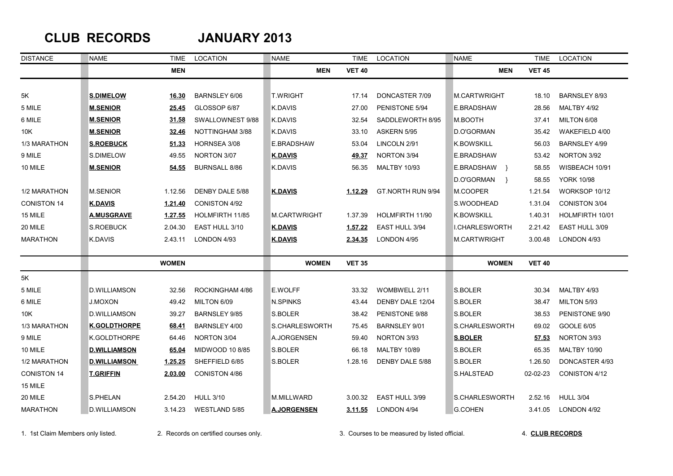## **CLUB RECORDS JANUARY 2013**

| <b>DISTANCE</b>    | <b>NAME</b>         | TIME         | <b>LOCATION</b>        | <b>NAME</b>         | <b>TIME</b>   | <b>LOCATION</b>      | <b>NAME</b>                 | <b>TIME</b>   | <b>LOCATION</b>      |
|--------------------|---------------------|--------------|------------------------|---------------------|---------------|----------------------|-----------------------------|---------------|----------------------|
|                    |                     | <b>MEN</b>   |                        | <b>MEN</b>          | <b>VET 40</b> |                      | MEN                         | <b>VET 45</b> |                      |
|                    |                     |              |                        |                     |               |                      |                             |               |                      |
| 5Κ                 | <b>S.DIMELOW</b>    | 16.30        | BARNSLEY 6/06          | <b>T.WRIGHT</b>     | 17.14         | DONCASTER 7/09       | M.CARTWRIGHT                | 18.10         | BARNSLEY 8/93        |
| 5 MILE             | <b>M.SENIOR</b>     | 25.45        | GLOSSOP 6/87           | K.DAVIS             | 27.00         | PENISTONE 5/94       | E.BRADSHAW                  | 28.56         | MALTBY 4/92          |
| 6 MILE             | <b>M.SENIOR</b>     | 31.58        | SWALLOWNEST 9/88       | K.DAVIS             | 32.54         | SADDLEWORTH 8/95     | M.BOOTH                     | 37.41         | MILTON 6/08          |
| 10K                | <b>M.SENIOR</b>     | 32.46        | <b>NOTTINGHAM 3/88</b> | K.DAVIS             | 33.10         | ASKERN 5/95          | D.O'GORMAN                  | 35.42         | WAKEFIELD 4/00       |
| 1/3 MARATHON       | <b>S.ROEBUCK</b>    | 51.33        | HORNSEA 3/08           | E.BRADSHAW          | 53.04         | LINCOLN 2/91         | <b>K.BOWSKILL</b>           | 56.03         | BARNSLEY 4/99        |
| 9 MILE             | S.DIMELOW           | 49.55        | NORTON 3/07            | <b>K.DAVIS</b>      | <u>49.37</u>  | NORTON 3/94          | E.BRADSHAW                  | 53.42         | NORTON 3/92          |
| 10 MILE            | <b>M.SENIOR</b>     | 54.55        | <b>BURNSALL 8/86</b>   | <b>K.DAVIS</b>      | 56.35         | <b>MALTBY 10/93</b>  | E.BRADSHAW }                | 58.55         | WISBEACH 10/91       |
|                    |                     |              |                        |                     |               |                      | D.O'GORMAN<br>$\rightarrow$ | 58.55         | <b>YORK 10/98</b>    |
| 1/2 MARATHON       | <b>M.SENIOR</b>     | 1.12.56      | DENBY DALE 5/88        | <b>K.DAVIS</b>      | 1.12.29       | GT.NORTH RUN 9/94    | M.COOPER                    | 1.21.54       | WORKSOP 10/12        |
| <b>CONISTON 14</b> | <u>K.DAVIS</u>      | 1.21.40      | CONISTON 4/92          |                     |               |                      | S.WOODHEAD                  | 1.31.04       | <b>CONISTON 3/04</b> |
| 15 MILE            | <u>A.MUSGRAVE</u>   | 1.27.55      | HOLMFIRTH 11/85        | <b>M.CARTWRIGHT</b> | 1.37.39       | HOLMFIRTH 11/90      | <b>K.BOWSKILL</b>           | 1.40.31       | HOLMFIRTH 10/01      |
| 20 MILE            | S.ROEBUCK           | 2.04.30      | EAST HULL 3/10         | <b>K.DAVIS</b>      | 1.57.22       | EAST HULL 3/94       | <b>I.CHARLESWORTH</b>       | 2.21.42       | EAST HULL 3/09       |
| <b>MARATHON</b>    | K.DAVIS             | 2.43.11      | LONDON 4/93            | <u>K.DAVIS</u>      | 2.34.35       | LONDON 4/95          | M.CARTWRIGHT                | 3.00.48       | LONDON 4/93          |
|                    |                     |              |                        |                     |               |                      |                             |               |                      |
|                    |                     | <b>WOMEN</b> |                        | <b>WOMEN</b>        | <b>VET 35</b> |                      | <b>WOMEN</b>                | <b>VET 40</b> |                      |
| 5K                 |                     |              |                        |                     |               |                      |                             |               |                      |
| 5 MILE             | <b>D.WILLIAMSON</b> | 32.56        | ROCKINGHAM 4/86        | E.WOLFF             | 33.32         | WOMBWELL 2/11        | S.BOLER                     | 30.34         | MALTBY 4/93          |
| 6 MILE             | <b>J.MOXON</b>      | 49.42        | MILTON 6/09            | <b>N.SPINKS</b>     | 43.44         | DENBY DALE 12/04     | S.BOLER                     | 38.47         | MILTON 5/93          |
| 10K                | <b>D.WILLIAMSON</b> | 39.27        | <b>BARNSLEY 9/85</b>   | S.BOLER             | 38.42         | PENISTONE 9/88       | S.BOLER                     | 38.53         | PENISTONE 9/90       |
| 1/3 MARATHON       | <b>K.GOLDTHORPE</b> | 68.41        | BARNSLEY 4/00          | S.CHARLESWORTH      | 75.45         | <b>BARNSLEY 9/01</b> | S.CHARLESWORTH              | 69.02         | GOOLE 6/05           |
| 9 MILE             | K.GOLDTHORPE        | 64.46        | NORTON 3/04            | A.JORGENSEN         | 59.40         | NORTON 3/93          | <b>S.BOLER</b>              | 57.53         | NORTON 3/93          |
| 10 MILE            | <b>D.WILLIAMSON</b> | 65.04        | MIDWOOD 10 8/85        | S.BOLER             | 66.18         | <b>MALTBY 10/89</b>  | S.BOLER                     | 65.35         | <b>MALTBY 10/90</b>  |
| 1/2 MARATHON       | <b>D.WILLIAMSON</b> | 1.25.25      | SHEFFIELD 6/85         | S.BOLER             | 1.28.16       | DENBY DALE 5/88      | S.BOLER                     | 1.26.50       | DONCASTER 4/93       |
| <b>CONISTON 14</b> | <b>T.GRIFFIN</b>    | 2.03.00      | CONISTON 4/86          |                     |               |                      | S.HALSTEAD                  | 02-02-23      | CONISTON 4/12        |
| 15 MILE            |                     |              |                        |                     |               |                      |                             |               |                      |
| 20 MILE            | S.PHELAN            | 2.54.20      | <b>HULL 3/10</b>       | M.MILLWARD          | 3.00.32       | EAST HULL 3/99       | S.CHARLESWORTH              | 2.52.16       | <b>HULL 3/04</b>     |
| <b>MARATHON</b>    | <b>D.WILLIAMSON</b> | 3.14.23      | WESTLAND 5/85          | <b>A.JORGENSEN</b>  | 3.11.55       | LONDON 4/94          | G.COHEN                     | 3.41.05       | LONDON 4/92          |

1. 1st Claim Members only listed. 2. Records on certified courses only. 3. Courses to be measured by listed official. 4. **CLUB RECORDS**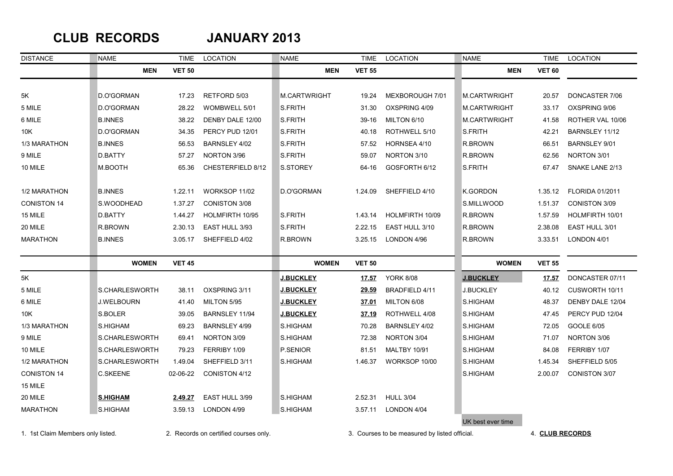### **CLUB RECORDS JANUARY 2013**

| <b>DISTANCE</b>                   | <b>NAME</b>       | <b>TIME</b>   | LOCATION                              | <b>NAME</b>         | TIME          | LOCATION                                      | <b>NAME</b>         | TIME            | LOCATION               |
|-----------------------------------|-------------------|---------------|---------------------------------------|---------------------|---------------|-----------------------------------------------|---------------------|-----------------|------------------------|
|                                   | <b>MEN</b>        | <b>VET 50</b> |                                       | <b>MEN</b>          | <b>VET 55</b> |                                               | <b>MEN</b>          | <b>VET 60</b>   |                        |
|                                   |                   |               |                                       |                     |               |                                               |                     |                 |                        |
| 5K                                | D.O'GORMAN        | 17.23         | RETFORD 5/03                          | <b>M.CARTWRIGHT</b> | 19.24         | MEXBOROUGH 7/01                               | <b>M.CARTWRIGHT</b> | 20.57           | DONCASTER 7/06         |
| 5 MILE                            | D.O'GORMAN        | 28.22         | WOMBWELL 5/01                         | S.FRITH             | 31.30         | OXSPRING 4/09                                 | M.CARTWRIGHT        | 33.17           | OXSPRING 9/06          |
| 6 MILE                            | <b>B.INNES</b>    | 38.22         | DENBY DALE 12/00                      | S.FRITH             | 39-16         | MILTON 6/10                                   | M.CARTWRIGHT        | 41.58           | ROTHER VAL 10/06       |
| 10K                               | D.O'GORMAN        | 34.35         | PERCY PUD 12/01                       | S.FRITH             | 40.18         | ROTHWELL 5/10                                 | S.FRITH             | 42.21           | BARNSLEY 11/12         |
| 1/3 MARATHON                      | <b>B.INNES</b>    | 56.53         | BARNSLEY 4/02                         | S.FRITH             | 57.52         | HORNSEA 4/10                                  | R.BROWN             | 66.51           | BARNSLEY 9/01          |
| 9 MILE                            | D.BATTY           | 57.27         | NORTON 3/96                           | S.FRITH             | 59.07         | NORTON 3/10                                   | R.BROWN             | 62.56           | NORTON 3/01            |
| 10 MILE                           | M.BOOTH           | 65.36         | CHESTERFIELD 8/12                     | S.STOREY            | 64-16         | GOSFORTH 6/12                                 | S.FRITH             | 67.47           | SNAKE LANE 2/13        |
| 1/2 MARATHON                      | <b>B.INNES</b>    | 1.22.11       | WORKSOP 11/02                         | D.O'GORMAN          | 1.24.09       | SHEFFIELD 4/10                                | <b>K.GORDON</b>     | 1.35.12         | <b>FLORIDA 01/2011</b> |
| <b>CONISTON 14</b>                | S.WOODHEAD        | 1.37.27       | <b>CONISTON 3/08</b>                  |                     |               |                                               | S.MILLWOOD          | 1.51.37         | <b>CONISTON 3/09</b>   |
| 15 MILE                           | <b>D.BATTY</b>    | 1.44.27       | HOLMFIRTH 10/95                       | S.FRITH             | 1.43.14       | HOLMFIRTH 10/09                               | R.BROWN             | 1.57.59         | HOLMFIRTH 10/01        |
| 20 MILE                           | R.BROWN           | 2.30.13       | EAST HULL 3/93                        | S.FRITH             | 2.22.15       | EAST HULL 3/10                                | R.BROWN             | 2.38.08         | EAST HULL 3/01         |
| <b>MARATHON</b>                   | <b>B.INNES</b>    | 3.05.17       | SHEFFIELD 4/02                        | R.BROWN             | 3.25.15       | LONDON 4/96                                   | R.BROWN             | 3.33.51         | LONDON 4/01            |
|                                   |                   |               |                                       |                     |               |                                               |                     |                 |                        |
|                                   | <b>WOMEN</b>      | <b>VET 45</b> |                                       | <b>WOMEN</b>        | <b>VET 50</b> |                                               | <b>WOMEN</b>        | <b>VET 55</b>   |                        |
| 5K                                |                   |               |                                       | <u>J.BUCKLEY</u>    | <u>17.57</u>  | <b>YORK 8/08</b>                              | <b>J.BUCKLEY</b>    | 17.57           | DONCASTER 07/11        |
| 5 MILE                            | S.CHARLESWORTH    | 38.11         | OXSPRING 3/11                         | <u>J.BUCKLEY</u>    | 29.59         | BRADFIELD 4/11                                | <b>J.BUCKLEY</b>    | 40.12           | CUSWORTH 10/11         |
| 6 MILE                            | <b>J.WELBOURN</b> | 41.40         | MILTON 5/95                           | <b>J.BUCKLEY</b>    | 37.01         | MILTON 6/08                                   | S.HIGHAM            | 48.37           | DENBY DALE 12/04       |
| 10K                               | S.BOLER           | 39.05         | BARNSLEY 11/94                        | <b>J.BUCKLEY</b>    | 37.19         | ROTHWELL 4/08                                 | S.HIGHAM            | 47.45           | PERCY PUD 12/04        |
| 1/3 MARATHON                      | S.HIGHAM          | 69.23         | <b>BARNSLEY 4/99</b>                  | S.HIGHAM            | 70.28         | BARNSLEY 4/02                                 | S.HIGHAM            | 72.05           | GOOLE 6/05             |
| 9 MILE                            | S.CHARLESWORTH    | 69.41         | NORTON 3/09                           | S.HIGHAM            | 72.38         | NORTON 3/04                                   | S.HIGHAM            | 71.07           | NORTON 3/06            |
| 10 MILE                           | S.CHARLESWORTH    | 79.23         | FERRIBY 1/09                          | P.SENIOR            | 81.51         | <b>MALTBY 10/91</b>                           | S.HIGHAM            | 84.08           | FERRIBY 1/07           |
| 1/2 MARATHON                      | S.CHARLESWORTH    | 1.49.04       | SHEFFIELD 3/11                        | S.HIGHAM            | 1.46.37       | WORKSOP 10/00                                 | S.HIGHAM            | 1.45.34         | SHEFFIELD 5/05         |
| <b>CONISTON 14</b>                | <b>C.SKEENE</b>   | 02-06-22      | CONISTON 4/12                         |                     |               |                                               | S.HIGHAM            | 2.00.07         | CONISTON 3/07          |
| 15 MILE                           |                   |               |                                       |                     |               |                                               |                     |                 |                        |
| 20 MILE                           | <b>S.HIGHAM</b>   | 2.49.27       | EAST HULL 3/99                        | S.HIGHAM            | 2.52.31       | <b>HULL 3/04</b>                              |                     |                 |                        |
| <b>MARATHON</b>                   | S.HIGHAM          | 3.59.13       | LONDON 4/99                           | S.HIGHAM            | 3.57.11       | LONDON 4/04                                   |                     |                 |                        |
| 1. 1st Claim Members only listed. |                   |               | 2. Records on certified courses only. |                     |               | 3. Courses to be measured by listed official. | UK best ever time   | 4. CLUB RECORDS |                        |